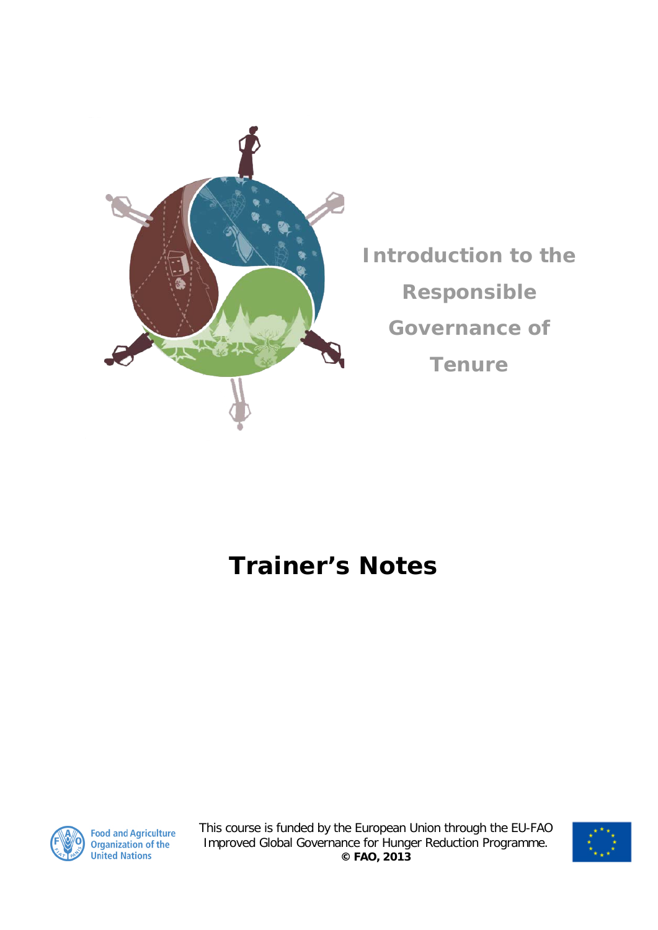

**Introduction to the Responsible Governance of Tenure**

## **Trainer's Notes**



**Food and Agriculture**<br>Organization of the **United Nations** 

This course is funded by the European Union through the EU-FAO Improved Global Governance for Hunger Reduction Programme. **© FAO, 2013**

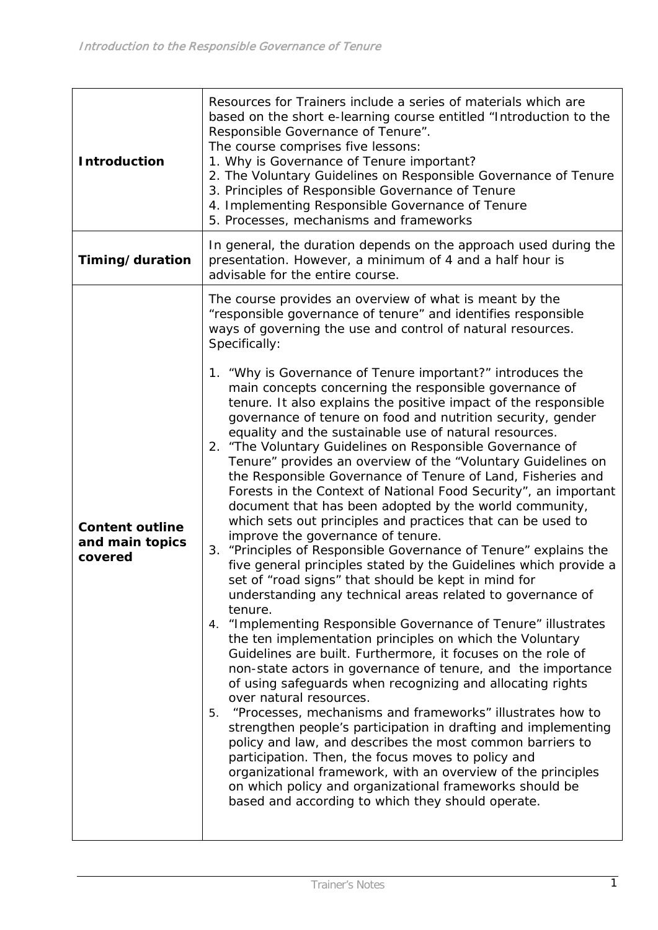| <b>Introduction</b>                                  | Resources for Trainers include a series of materials which are<br>based on the short e-learning course entitled "Introduction to the<br>Responsible Governance of Tenure".<br>The course comprises five lessons:<br>1. Why is Governance of Tenure important?<br>2. The Voluntary Guidelines on Responsible Governance of Tenure<br>3. Principles of Responsible Governance of Tenure<br>4. Implementing Responsible Governance of Tenure<br>5. Processes, mechanisms and frameworks                                                                                                                                                                                                                                                                                                                                                                                                                                                                                                                                                                                                                                                                                                                                                                                                                                                                                                                                                                                                                                                                                                                                                                                                                                                                                                                                                                                                                                                                                                                                                |
|------------------------------------------------------|-------------------------------------------------------------------------------------------------------------------------------------------------------------------------------------------------------------------------------------------------------------------------------------------------------------------------------------------------------------------------------------------------------------------------------------------------------------------------------------------------------------------------------------------------------------------------------------------------------------------------------------------------------------------------------------------------------------------------------------------------------------------------------------------------------------------------------------------------------------------------------------------------------------------------------------------------------------------------------------------------------------------------------------------------------------------------------------------------------------------------------------------------------------------------------------------------------------------------------------------------------------------------------------------------------------------------------------------------------------------------------------------------------------------------------------------------------------------------------------------------------------------------------------------------------------------------------------------------------------------------------------------------------------------------------------------------------------------------------------------------------------------------------------------------------------------------------------------------------------------------------------------------------------------------------------------------------------------------------------------------------------------------------------|
| Timing/duration                                      | In general, the duration depends on the approach used during the<br>presentation. However, a minimum of 4 and a half hour is<br>advisable for the entire course.                                                                                                                                                                                                                                                                                                                                                                                                                                                                                                                                                                                                                                                                                                                                                                                                                                                                                                                                                                                                                                                                                                                                                                                                                                                                                                                                                                                                                                                                                                                                                                                                                                                                                                                                                                                                                                                                    |
| <b>Content outline</b><br>and main topics<br>covered | The course provides an overview of what is meant by the<br>"responsible governance of tenure" and identifies responsible<br>ways of governing the use and control of natural resources.<br>Specifically:<br>1. "Why is Governance of Tenure important?" introduces the<br>main concepts concerning the responsible governance of<br>tenure. It also explains the positive impact of the responsible<br>governance of tenure on food and nutrition security, gender<br>equality and the sustainable use of natural resources.<br>2. "The Voluntary Guidelines on Responsible Governance of<br>Tenure" provides an overview of the "Voluntary Guidelines on<br>the Responsible Governance of Tenure of Land, Fisheries and<br>Forests in the Context of National Food Security", an important<br>document that has been adopted by the world community,<br>which sets out principles and practices that can be used to<br>improve the governance of tenure.<br>3. "Principles of Responsible Governance of Tenure" explains the<br>five general principles stated by the Guidelines which provide a<br>set of "road signs" that should be kept in mind for<br>understanding any technical areas related to governance of<br>tenure.<br>"Implementing Responsible Governance of Tenure" illustrates<br>4.<br>the ten implementation principles on which the Voluntary<br>Guidelines are built. Furthermore, it focuses on the role of<br>non-state actors in governance of tenure, and the importance<br>of using safeguards when recognizing and allocating rights<br>over natural resources.<br>"Processes, mechanisms and frameworks" illustrates how to<br>5.<br>strengthen people's participation in drafting and implementing<br>policy and law, and describes the most common barriers to<br>participation. Then, the focus moves to policy and<br>organizational framework, with an overview of the principles<br>on which policy and organizational frameworks should be<br>based and according to which they should operate. |